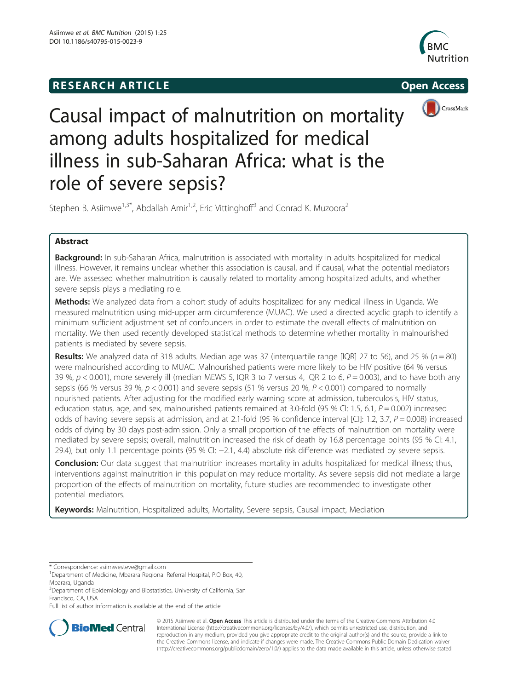## **RESEARCH ARTICLE Example 2014 12:30 The SEAR CHA RTICLE**







# Causal impact of malnutrition on mortality among adults hospitalized for medical illness in sub-Saharan Africa: what is the role of severe sepsis?

Stephen B. Asiimwe<sup>1,3\*</sup>, Abdallah Amir<sup>1,2</sup>, Eric Vittinghoff<sup>3</sup> and Conrad K. Muzoora<sup>2</sup>

## Abstract

**Background:** In sub-Saharan Africa, malnutrition is associated with mortality in adults hospitalized for medical illness. However, it remains unclear whether this association is causal, and if causal, what the potential mediators are. We assessed whether malnutrition is causally related to mortality among hospitalized adults, and whether severe sepsis plays a mediating role.

Methods: We analyzed data from a cohort study of adults hospitalized for any medical illness in Uganda. We measured malnutrition using mid-upper arm circumference (MUAC). We used a directed acyclic graph to identify a minimum sufficient adjustment set of confounders in order to estimate the overall effects of malnutrition on mortality. We then used recently developed statistical methods to determine whether mortality in malnourished patients is mediated by severe sepsis.

Results: We analyzed data of 318 adults. Median age was 37 (interquartile range [IQR] 27 to 56), and 25 % ( $n = 80$ ) were malnourished according to MUAC. Malnourished patients were more likely to be HIV positive (64 % versus 39 %,  $p < 0.001$ ), more severely ill (median MEWS 5, IQR 3 to 7 versus 4, IQR 2 to 6,  $P = 0.003$ ), and to have both any sepsis (66 % versus 39 %,  $p < 0.001$ ) and severe sepsis (51 % versus 20 %,  $P < 0.001$ ) compared to normally nourished patients. After adjusting for the modified early warning score at admission, tuberculosis, HIV status, education status, age, and sex, malnourished patients remained at 3.0-fold (95 % CI: 1.5, 6.1,  $P = 0.002$ ) increased odds of having severe sepsis at admission, and at 2.1-fold (95 % confidence interval [CI]: 1.2, 3.7,  $P = 0.008$ ) increased odds of dying by 30 days post-admission. Only a small proportion of the effects of malnutrition on mortality were mediated by severe sepsis; overall, malnutrition increased the risk of death by 16.8 percentage points (95 % CI: 4.1, 29.4), but only 1.1 percentage points (95 % CI: −2.1, 4.4) absolute risk difference was mediated by severe sepsis.

**Conclusion:** Our data suggest that malnutrition increases mortality in adults hospitalized for medical illness; thus, interventions against malnutrition in this population may reduce mortality. As severe sepsis did not mediate a large proportion of the effects of malnutrition on mortality, future studies are recommended to investigate other potential mediators.

Keywords: Malnutrition, Hospitalized adults, Mortality, Severe sepsis, Causal impact, Mediation

Full list of author information is available at the end of the article



© 2015 Asiimwe et al. Open Access This article is distributed under the terms of the Creative Commons Attribution 4.0 International License [\(http://creativecommons.org/licenses/by/4.0/](http://creativecommons.org/licenses/by/4.0/)), which permits unrestricted use, distribution, and reproduction in any medium, provided you give appropriate credit to the original author(s) and the source, provide a link to the Creative Commons license, and indicate if changes were made. The Creative Commons Public Domain Dedication waiver [\(http://creativecommons.org/publicdomain/zero/1.0/](http://creativecommons.org/publicdomain/zero/1.0/)) applies to the data made available in this article, unless otherwise stated.

<sup>\*</sup> Correspondence: [asiimwesteve@gmail.com](mailto:asiimwesteve@gmail.com) <sup>1</sup>

<sup>&</sup>lt;sup>1</sup>Department of Medicine, Mbarara Regional Referral Hospital, P.O Box, 40, Mbarara, Uganda

<sup>&</sup>lt;sup>3</sup>Department of Epidemiology and Biostatistics, University of California, San Francisco, CA, USA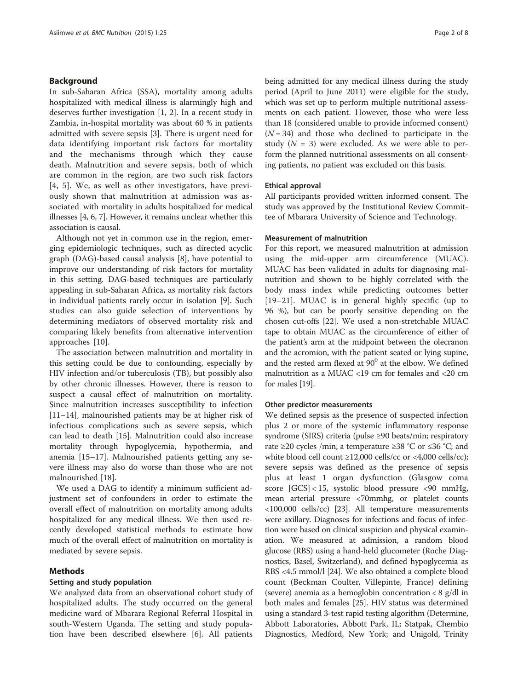## Background

In sub-Saharan Africa (SSA), mortality among adults hospitalized with medical illness is alarmingly high and deserves further investigation [[1](#page-6-0), [2\]](#page-6-0). In a recent study in Zambia, in-hospital mortality was about 60 % in patients admitted with severe sepsis [[3\]](#page-6-0). There is urgent need for data identifying important risk factors for mortality and the mechanisms through which they cause death. Malnutrition and severe sepsis, both of which are common in the region, are two such risk factors [[4](#page-6-0), [5\]](#page-6-0). We, as well as other investigators, have previously shown that malnutrition at admission was associated with mortality in adults hospitalized for medical illnesses [[4, 6](#page-6-0), [7\]](#page-6-0). However, it remains unclear whether this association is causal.

Although not yet in common use in the region, emerging epidemiologic techniques, such as directed acyclic graph (DAG)-based causal analysis [\[8](#page-6-0)], have potential to improve our understanding of risk factors for mortality in this setting. DAG-based techniques are particularly appealing in sub-Saharan Africa, as mortality risk factors in individual patients rarely occur in isolation [\[9](#page-6-0)]. Such studies can also guide selection of interventions by determining mediators of observed mortality risk and comparing likely benefits from alternative intervention approaches [[10\]](#page-6-0).

The association between malnutrition and mortality in this setting could be due to confounding, especially by HIV infection and/or tuberculosis (TB), but possibly also by other chronic illnesses. However, there is reason to suspect a causal effect of malnutrition on mortality. Since malnutrition increases susceptibility to infection [[11](#page-6-0)–[14](#page-6-0)], malnourished patients may be at higher risk of infectious complications such as severe sepsis, which can lead to death [\[15](#page-6-0)]. Malnutrition could also increase mortality through hypoglycemia, hypothermia, and anemia [[15](#page-6-0)–[17](#page-6-0)]. Malnourished patients getting any severe illness may also do worse than those who are not malnourished [[18\]](#page-6-0).

We used a DAG to identify a minimum sufficient adjustment set of confounders in order to estimate the overall effect of malnutrition on mortality among adults hospitalized for any medical illness. We then used recently developed statistical methods to estimate how much of the overall effect of malnutrition on mortality is mediated by severe sepsis.

## Methods

## Setting and study population

We analyzed data from an observational cohort study of hospitalized adults. The study occurred on the general medicine ward of Mbarara Regional Referral Hospital in south-Western Uganda. The setting and study population have been described elsewhere [[6\]](#page-6-0). All patients being admitted for any medical illness during the study period (April to June 2011) were eligible for the study, which was set up to perform multiple nutritional assessments on each patient. However, those who were less than 18 (considered unable to provide informed consent)  $(N = 34)$  and those who declined to participate in the study  $(N = 3)$  were excluded. As we were able to perform the planned nutritional assessments on all consenting patients, no patient was excluded on this basis.

## Ethical approval

All participants provided written informed consent. The study was approved by the Institutional Review Committee of Mbarara University of Science and Technology.

#### Measurement of malnutrition

For this report, we measured malnutrition at admission using the mid-upper arm circumference (MUAC). MUAC has been validated in adults for diagnosing malnutrition and shown to be highly correlated with the body mass index while predicting outcomes better [[19](#page-6-0)–[21](#page-6-0)]. MUAC is in general highly specific (up to 96 %), but can be poorly sensitive depending on the chosen cut-offs [\[22\]](#page-6-0). We used a non-stretchable MUAC tape to obtain MUAC as the circumference of either of the patient's arm at the midpoint between the olecranon and the acromion, with the patient seated or lying supine, and the rested arm flexed at  $90^0$  at the elbow. We defined malnutrition as a MUAC <19 cm for females and <20 cm for males [\[19\]](#page-6-0).

## Other predictor measurements

We defined sepsis as the presence of suspected infection plus 2 or more of the systemic inflammatory response syndrome (SIRS) criteria (pulse ≥90 beats/min; respiratory rate ≥20 cycles /min; a temperature ≥38 °C or ≤36 °C; and white blood cell count  $\geq$ 12,000 cells/cc or <4,000 cells/cc); severe sepsis was defined as the presence of sepsis plus at least 1 organ dysfunction (Glasgow coma score [GCS] < 15, systolic blood pressure <90 mmHg, mean arterial pressure <70mmhg, or platelet counts <100,000 cells/cc) [[23](#page-6-0)]. All temperature measurements were axillary. Diagnoses for infections and focus of infection were based on clinical suspicion and physical examination. We measured at admission, a random blood glucose (RBS) using a hand-held glucometer (Roche Diagnostics, Basel, Switzerland), and defined hypoglycemia as RBS <4.5 mmol/l [\[24\]](#page-6-0). We also obtained a complete blood count (Beckman Coulter, Villepinte, France) defining (severe) anemia as a hemoglobin concentration < 8 g/dl in both males and females [[25](#page-6-0)]. HIV status was determined using a standard 3-test rapid testing algorithm (Determine, Abbott Laboratories, Abbott Park, IL; Statpak, Chembio Diagnostics, Medford, New York; and Unigold, Trinity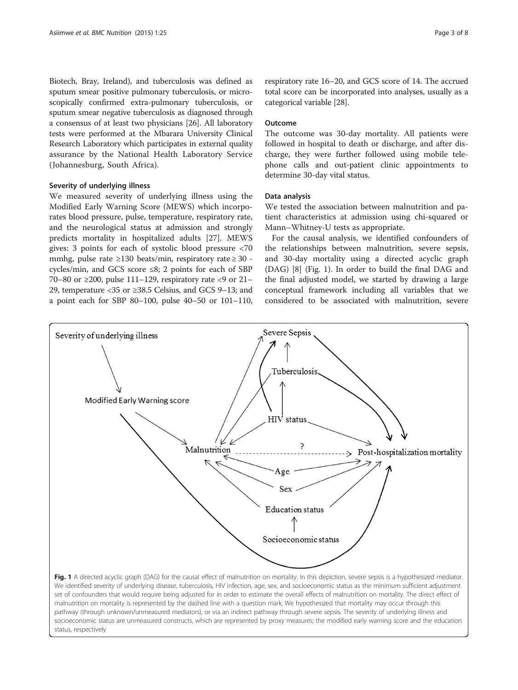<span id="page-2-0"></span>Biotech, Bray, Ireland), and tuberculosis was defined as sputum smear positive pulmonary tuberculosis, or microscopically confirmed extra-pulmonary tuberculosis, or sputum smear negative tuberculosis as diagnosed through a consensus of at least two physicians [[26](#page-6-0)]. All laboratory tests were performed at the Mbarara University Clinical Research Laboratory which participates in external quality assurance by the National Health Laboratory Service (Johannesburg, South Africa).

## Severity of underlying illness

We measured severity of underlying illness using the Modified Early Warning Score (MEWS) which incorporates blood pressure, pulse, temperature, respiratory rate, and the neurological status at admission and strongly predicts mortality in hospitalized adults [[27\]](#page-7-0). MEWS gives: 3 points for each of systolic blood pressure <70 mmhg, pulse rate ≥130 beats/min, respiratory rate ≥ 30 cycles/min, and GCS score ≤8; 2 points for each of SBP 70–80 or ≥200, pulse 111–129, respiratory rate <9 or 21– 29, temperature <35 or ≥38.5 Celsius, and GCS 9–13; and a point each for SBP 80–100, pulse 40–50 or 101–110, respiratory rate 16–20, and GCS score of 14. The accrued total score can be incorporated into analyses, usually as a categorical variable [[28](#page-7-0)].

## Outcome

The outcome was 30-day mortality. All patients were followed in hospital to death or discharge, and after discharge, they were further followed using mobile telephone calls and out-patient clinic appointments to determine 30-day vital status.

## Data analysis

We tested the association between malnutrition and patient characteristics at admission using chi-squared or Mann–Whitney-U tests as appropriate.

For the causal analysis, we identified confounders of the relationships between malnutrition, severe sepsis, and 30-day mortality using a directed acyclic graph (DAG) [\[8](#page-6-0)] (Fig. 1). In order to build the final DAG and the final adjusted model, we started by drawing a large conceptual framework including all variables that we considered to be associated with malnutrition, severe

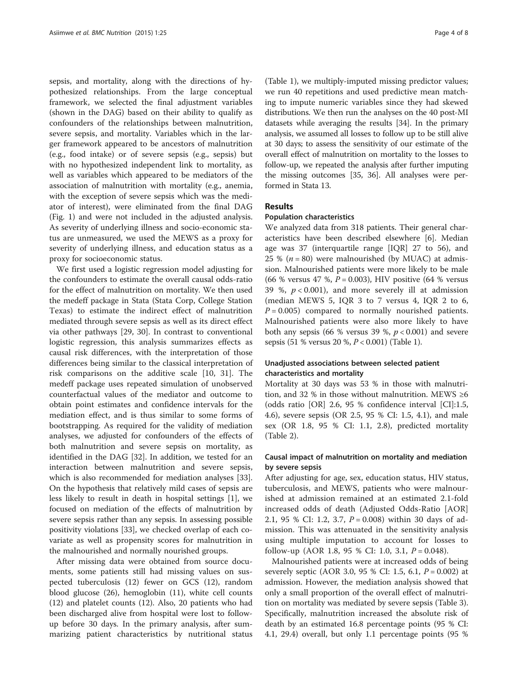sepsis, and mortality, along with the directions of hypothesized relationships. From the large conceptual framework, we selected the final adjustment variables (shown in the DAG) based on their ability to qualify as confounders of the relationships between malnutrition, severe sepsis, and mortality. Variables which in the larger framework appeared to be ancestors of malnutrition (e.g., food intake) or of severe sepsis (e.g., sepsis) but with no hypothesized independent link to mortality, as well as variables which appeared to be mediators of the association of malnutrition with mortality (e.g., anemia, with the exception of severe sepsis which was the mediator of interest), were eliminated from the final DAG (Fig. [1](#page-2-0)) and were not included in the adjusted analysis. As severity of underlying illness and socio-economic status are unmeasured, we used the MEWS as a proxy for severity of underlying illness, and education status as a proxy for socioeconomic status.

We first used a logistic regression model adjusting for the confounders to estimate the overall causal odds-ratio for the effect of malnutrition on mortality. We then used the medeff package in Stata (Stata Corp, College Station Texas) to estimate the indirect effect of malnutrition mediated through severe sepsis as well as its direct effect via other pathways [[29, 30](#page-7-0)]. In contrast to conventional logistic regression, this analysis summarizes effects as causal risk differences, with the interpretation of those differences being similar to the classical interpretation of risk comparisons on the additive scale [[10,](#page-6-0) [31](#page-7-0)]. The medeff package uses repeated simulation of unobserved counterfactual values of the mediator and outcome to obtain point estimates and confidence intervals for the mediation effect, and is thus similar to some forms of bootstrapping. As required for the validity of mediation analyses, we adjusted for confounders of the effects of both malnutrition and severe sepsis on mortality, as identified in the DAG [[32\]](#page-7-0). In addition, we tested for an interaction between malnutrition and severe sepsis, which is also recommended for mediation analyses [\[33](#page-7-0)]. On the hypothesis that relatively mild cases of sepsis are less likely to result in death in hospital settings [[1\]](#page-6-0), we focused on mediation of the effects of malnutrition by severe sepsis rather than any sepsis. In assessing possible positivity violations [\[33](#page-7-0)], we checked overlap of each covariate as well as propensity scores for malnutrition in the malnourished and normally nourished groups.

After missing data were obtained from source documents, some patients still had missing values on suspected tuberculosis (12) fewer on GCS (12), random blood glucose (26), hemoglobin (11), white cell counts (12) and platelet counts (12). Also, 20 patients who had been discharged alive from hospital were lost to followup before 30 days. In the primary analysis, after summarizing patient characteristics by nutritional status

(Table [1](#page-4-0)), we multiply-imputed missing predictor values; we run 40 repetitions and used predictive mean matching to impute numeric variables since they had skewed distributions. We then run the analyses on the 40 post-MI datasets while averaging the results [\[34](#page-7-0)]. In the primary analysis, we assumed all losses to follow up to be still alive at 30 days; to assess the sensitivity of our estimate of the overall effect of malnutrition on mortality to the losses to follow-up, we repeated the analysis after further imputing the missing outcomes [[35](#page-7-0), [36](#page-7-0)]. All analyses were performed in Stata 13.

## Results

## Population characteristics

We analyzed data from 318 patients. Their general characteristics have been described elsewhere [[6\]](#page-6-0). Median age was 37 (interquartile range [IQR] 27 to 56), and 25 % ( $n = 80$ ) were malnourished (by MUAC) at admission. Malnourished patients were more likely to be male (66 % versus 47 %,  $P = 0.003$ ), HIV positive (64 % versus 39 %,  $p < 0.001$ ), and more severely ill at admission (median MEWS 5, IQR 3 to 7 versus 4, IQR 2 to 6,  $P = 0.005$ ) compared to normally nourished patients. Malnourished patients were also more likely to have both any sepsis (66 % versus 39 %,  $p < 0.001$ ) and severe sepsis (51 % versus 20 %, P < 0.001) (Table [1](#page-4-0)).

## Unadjusted associations between selected patient characteristics and mortality

Mortality at 30 days was 53 % in those with malnutrition, and 32 % in those without malnutrition. MEWS  $\geq 6$ (odds ratio [OR] 2.6, 95 % confidence interval [CI]:1.5, 4.6), severe sepsis (OR 2.5, 95 % CI: 1.5, 4.1), and male sex (OR 1.8, 95 % CI: 1.1, 2.8), predicted mortality (Table [2\)](#page-5-0).

## Causal impact of malnutrition on mortality and mediation by severe sepsis

After adjusting for age, sex, education status, HIV status, tuberculosis, and MEWS, patients who were malnourished at admission remained at an estimated 2.1-fold increased odds of death (Adjusted Odds-Ratio [AOR] 2.1, 95 % CI: 1.2, 3.7,  $P = 0.008$ ) within 30 days of admission. This was attenuated in the sensitivity analysis using multiple imputation to account for losses to follow-up (AOR 1.8, 95 % CI: 1.0, 3.1,  $P = 0.048$ ).

Malnourished patients were at increased odds of being severely septic (AOR 3.0, 95 % CI: 1.5, 6.1,  $P = 0.002$ ) at admission. However, the mediation analysis showed that only a small proportion of the overall effect of malnutrition on mortality was mediated by severe sepsis (Table [3](#page-5-0)). Specifically, malnutrition increased the absolute risk of death by an estimated 16.8 percentage points (95 % CI: 4.1, 29.4) overall, but only 1.1 percentage points (95 %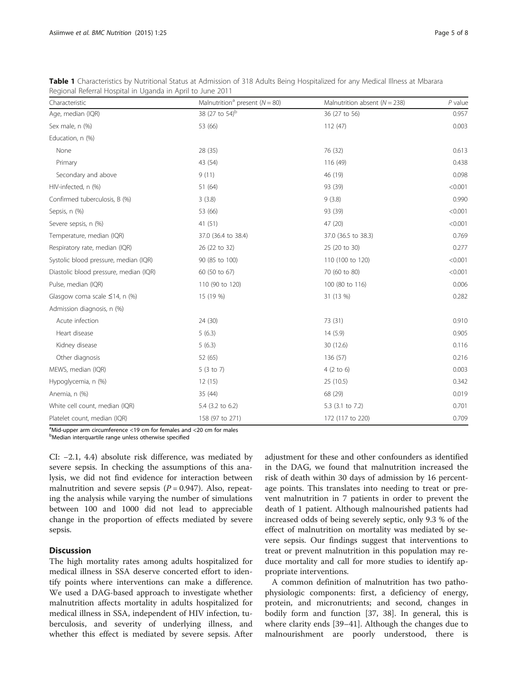| Characteristic                         | Malnutrition <sup>a</sup> present ( $N = 80$ ) | Malnutrition absent ( $N = 238$ ) | $P$ value |
|----------------------------------------|------------------------------------------------|-----------------------------------|-----------|
| Age, median (IQR)                      | 38 (27 to 54) <sup>b</sup>                     | 36 (27 to 56)                     | 0.957     |
| Sex male, n (%)                        | 53 (66)                                        | 112(47)                           | 0.003     |
| Education, n (%)                       |                                                |                                   |           |
| None                                   | 28 (35)                                        | 76 (32)                           | 0.613     |
| Primary                                | 43 (54)                                        | 116 (49)                          | 0.438     |
| Secondary and above                    | 9(11)                                          | 46 (19)                           | 0.098     |
| HIV-infected, n (%)                    | 51 (64)                                        | 93 (39)                           | < 0.001   |
| Confirmed tuberculosis, B (%)          | 3(3.8)                                         | 9(3.8)                            | 0.990     |
| Sepsis, n (%)                          | 53 (66)                                        | 93 (39)                           | < 0.001   |
| Severe sepsis, n (%)                   | 41(51)                                         | 47 (20)                           | < 0.001   |
| Temperature, median (IQR)              | 37.0 (36.4 to 38.4)                            | 37.0 (36.5 to 38.3)               | 0.769     |
| Respiratory rate, median (IQR)         | 26 (22 to 32)                                  | 25 (20 to 30)                     | 0.277     |
| Systolic blood pressure, median (IQR)  | 90 (85 to 100)                                 | 110 (100 to 120)                  | < 0.001   |
| Diastolic blood pressure, median (IQR) | 60 (50 to 67)                                  | 70 (60 to 80)                     | < 0.001   |
| Pulse, median (IQR)                    | 110 (90 to 120)                                | 100 (80 to 116)                   | 0.006     |
| Glasgow coma scale ≤14, n (%)          | 15 (19 %)                                      | 31 (13 %)                         | 0.282     |
| Admission diagnosis, n (%)             |                                                |                                   |           |
| Acute infection                        | 24 (30)                                        | 73 (31)                           | 0.910     |
| Heart disease                          | 5(6.3)                                         | 14(5.9)                           | 0.905     |
| Kidney disease                         | 5(6.3)                                         | 30 (12.6)                         | 0.116     |
| Other diagnosis                        | 52 (65)                                        | 136 (57)                          | 0.216     |
| MEWS, median (IQR)                     | 5(3 to 7)                                      | $4(2 \text{ to } 6)$              | 0.003     |
| Hypoglycemia, n (%)                    | 12(15)                                         | 25 (10.5)                         | 0.342     |
| Anemia, n (%)                          | 35 (44)                                        | 68 (29)                           | 0.019     |
| White cell count, median (IQR)         | 5.4 (3.2 to 6.2)                               | 5.3 (3.1 to 7.2)                  | 0.701     |
| Platelet count, median (IQR)           | 158 (97 to 271)                                | 172 (117 to 220)                  | 0.709     |

<span id="page-4-0"></span>Table 1 Characteristics by Nutritional Status at Admission of 318 Adults Being Hospitalized for any Medical Illness at Mbarara Regional Referral Hospital in Uganda in April to June 2011

<sup>a</sup>Mid-upper arm circumference <19 cm for females and <20 cm for males <sup>b</sup>Median interquartile range unless otherwise specified

CI: −2.1, 4.4) absolute risk difference, was mediated by severe sepsis. In checking the assumptions of this analysis, we did not find evidence for interaction between malnutrition and severe sepsis  $(P = 0.947)$ . Also, repeating the analysis while varying the number of simulations between 100 and 1000 did not lead to appreciable change in the proportion of effects mediated by severe sepsis.

## **Discussion**

The high mortality rates among adults hospitalized for medical illness in SSA deserve concerted effort to identify points where interventions can make a difference. We used a DAG-based approach to investigate whether malnutrition affects mortality in adults hospitalized for medical illness in SSA, independent of HIV infection, tuberculosis, and severity of underlying illness, and whether this effect is mediated by severe sepsis. After

adjustment for these and other confounders as identified in the DAG, we found that malnutrition increased the risk of death within 30 days of admission by 16 percentage points. This translates into needing to treat or prevent malnutrition in 7 patients in order to prevent the death of 1 patient. Although malnourished patients had increased odds of being severely septic, only 9.3 % of the effect of malnutrition on mortality was mediated by severe sepsis. Our findings suggest that interventions to treat or prevent malnutrition in this population may reduce mortality and call for more studies to identify appropriate interventions.

A common definition of malnutrition has two pathophysiologic components: first, a deficiency of energy, protein, and micronutrients; and second, changes in bodily form and function [\[37](#page-7-0), [38](#page-7-0)]. In general, this is where clarity ends [[39](#page-7-0)–[41](#page-7-0)]. Although the changes due to malnourishment are poorly understood, there is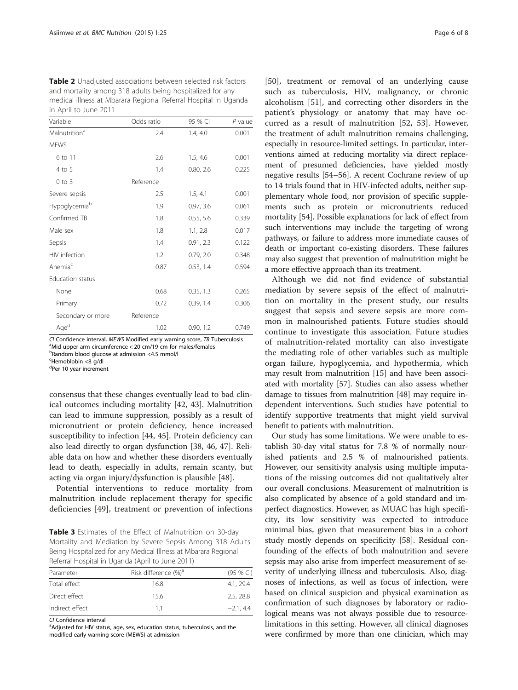<span id="page-5-0"></span>Table 2 Unadjusted associations between selected risk factors and mortality among 318 adults being hospitalized for any medical illness at Mbarara Regional Referral Hospital in Uganda in April to June 2011

| Variable                  | Odds ratio | 95 % CI   | $P$ value |
|---------------------------|------------|-----------|-----------|
| Malnutrition <sup>a</sup> | 2.4        | 1.4, 4.0  | 0.001     |
| <b>MEWS</b>               |            |           |           |
| 6 to 11                   | 2.6        | 1.5, 4.6  | 0.001     |
| 4 to 5                    | 1.4        | 0.80, 2.6 | 0.225     |
| $0$ to $3$                | Reference  |           |           |
| Severe sepsis             | 2.5        | 1.5, 4.1  | 0.001     |
| Hypoglycemia <sup>b</sup> | 1.9        | 0.97, 3.6 | 0.061     |
| Confirmed TB              | 1.8        | 0.55, 5.6 | 0.339     |
| Male sex                  | 1.8        | 1.1, 2.8  | 0.017     |
| Sepsis                    | 1.4        | 0.91, 2.3 | 0.122     |
| HIV infection             | 1.2        | 0.79, 2.0 | 0.348     |
| Anemia <sup>c</sup>       | 0.87       | 0.53, 1.4 | 0.594     |
| Education status          |            |           |           |
| None                      | 0.68       | 0.35, 1.3 | 0.265     |
| Primary                   | 0.72       | 0.39, 1.4 | 0.306     |
| Secondary or more         | Reference  |           |           |
| Aged                      | 1.02       | 0.90, 1.2 | 0.749     |

CI Confidence interval, MEWS Modified early warning score, TB Tuberculosis Mid-upper arm circumference < 20 cm/19 cm for males/females

b Random blood glucose at admission <4.5 mmol/l

<sup>c</sup>Hemoblobin <8 g/dl

<sup>d</sup>Per 10 year increment

consensus that these changes eventually lead to bad clinical outcomes including mortality [[42](#page-7-0), [43](#page-7-0)]. Malnutrition can lead to immune suppression, possibly as a result of micronutrient or protein deficiency, hence increased susceptibility to infection [\[44](#page-7-0), [45](#page-7-0)]. Protein deficiency can also lead directly to organ dysfunction [\[38](#page-7-0), [46](#page-7-0), [47\]](#page-7-0). Reliable data on how and whether these disorders eventually lead to death, especially in adults, remain scanty, but acting via organ injury/dysfunction is plausible [\[48](#page-7-0)].

Potential interventions to reduce mortality from malnutrition include replacement therapy for specific deficiencies [[49\]](#page-7-0), treatment or prevention of infections

Table 3 Estimates of the Effect of Malnutrition on 30-day Mortality and Mediation by Severe Sepsis Among 318 Adults Being Hospitalized for any Medical Illness at Mbarara Regional Referral Hospital in Uganda (April to June 2011)

| Parameter       | Risk difference (%) <sup>a</sup> | $(95 \%$ CI) |
|-----------------|----------------------------------|--------------|
| Total effect    | 16.8                             | 4.1.29.4     |
| Direct effect   | 15.6                             | 2.5, 28.8    |
| Indirect effect | 11                               | $-2.1, 4.4$  |

CI Confidence interval<br><sup>a</sup>Adjusted for HIV status, age, sex, education status, tuberculosis, and the modified early warning score (MEWS) at admission

[[50\]](#page-7-0), treatment or removal of an underlying cause such as tuberculosis, HIV, malignancy, or chronic alcoholism [\[51](#page-7-0)], and correcting other disorders in the patient's physiology or anatomy that may have occurred as a result of malnutrition [\[52](#page-7-0), [53](#page-7-0)]. However, the treatment of adult malnutrition remains challenging, especially in resource-limited settings. In particular, interventions aimed at reducing mortality via direct replacement of presumed deficiencies, have yielded mostly negative results [\[54](#page-7-0)–[56\]](#page-7-0). A recent Cochrane review of up to 14 trials found that in HIV-infected adults, neither supplementary whole food, nor provision of specific supplements such as protein or micronutrients reduced mortality [[54](#page-7-0)]. Possible explanations for lack of effect from such interventions may include the targeting of wrong pathways, or failure to address more immediate causes of death or important co-existing disorders. These failures may also suggest that prevention of malnutrition might be a more effective approach than its treatment.

Although we did not find evidence of substantial mediation by severe sepsis of the effect of malnutrition on mortality in the present study, our results suggest that sepsis and severe sepsis are more common in malnourished patients. Future studies should continue to investigate this association. Future studies of malnutrition-related mortality can also investigate the mediating role of other variables such as multiple organ failure, hypoglycemia, and hypothermia, which may result from malnutrition [[15](#page-6-0)] and have been associated with mortality [\[57\]](#page-7-0). Studies can also assess whether damage to tissues from malnutrition [\[48\]](#page-7-0) may require independent interventions. Such studies have potential to identify supportive treatments that might yield survival benefit to patients with malnutrition.

Our study has some limitations. We were unable to establish 30-day vital status for 7.8 % of normally nourished patients and 2.5 % of malnourished patients. However, our sensitivity analysis using multiple imputations of the missing outcomes did not qualitatively alter our overall conclusions. Measurement of malnutrition is also complicated by absence of a gold standard and imperfect diagnostics. However, as MUAC has high specificity, its low sensitivity was expected to introduce minimal bias, given that measurement bias in a cohort study mostly depends on specificity [\[58](#page-7-0)]. Residual confounding of the effects of both malnutrition and severe sepsis may also arise from imperfect measurement of severity of underlying illness and tuberculosis. Also, diagnoses of infections, as well as focus of infection, were based on clinical suspicion and physical examination as confirmation of such diagnoses by laboratory or radiological means was not always possible due to resourcelimitations in this setting. However, all clinical diagnoses were confirmed by more than one clinician, which may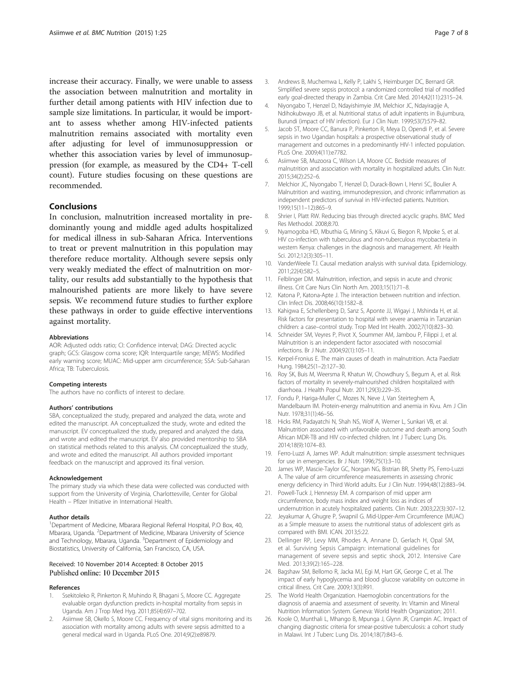<span id="page-6-0"></span>increase their accuracy. Finally, we were unable to assess the association between malnutrition and mortality in further detail among patients with HIV infection due to sample size limitations. In particular, it would be important to assess whether among HIV-infected patients malnutrition remains associated with mortality even after adjusting for level of immunosuppression or whether this association varies by level of immunosuppression (for example, as measured by the CD4+ T-cell count). Future studies focusing on these questions are recommended.

## Conclusions

In conclusion, malnutrition increased mortality in predominantly young and middle aged adults hospitalized for medical illness in sub-Saharan Africa. Interventions to treat or prevent malnutrition in this population may therefore reduce mortality. Although severe sepsis only very weakly mediated the effect of malnutrition on mortality, our results add substantially to the hypothesis that malnourished patients are more likely to have severe sepsis. We recommend future studies to further explore these pathways in order to guide effective interventions against mortality.

#### Abbreviations

AOR: Adjusted odds ratio; CI: Confidence interval; DAG: Directed acyclic graph; GCS: Glasgow coma score; IQR: Interquartile range; MEWS: Modified early warning score; MUAC: Mid-upper arm circumference; SSA: Sub-Saharan Africa; TB: Tuberculosis.

#### Competing interests

The authors have no conflicts of interest to declare.

#### Authors' contributions

SBA, conceptualized the study, prepared and analyzed the data, wrote and edited the manuscript. AA conceptualized the study, wrote and edited the manuscript. EV conceptualized the study, prepared and analyzed the data, and wrote and edited the manuscript. EV also provided mentorship to SBA on statistical methods related to this analysis. CM conceptualized the study, and wrote and edited the manuscript. All authors provided important feedback on the manuscript and approved its final version.

#### Acknowledgement

The primary study via which these data were collected was conducted with support from the University of Virginia, Charlottesville, Center for Global Health – Pfizer Initiative in International Health.

#### Author details

<sup>1</sup>Department of Medicine, Mbarara Regional Referral Hospital, P.O Box, 40, Mbarara, Uganda. <sup>2</sup>Department of Medicine, Mbarara University of Science and Technology, Mbarara, Uganda. <sup>3</sup>Department of Epidemiology and Biostatistics, University of California, San Francisco, CA, USA.

#### Received: 10 November 2014 Accepted: 8 October 2015 Published online: 10 December 2015

#### References

- Ssekitoleko R, Pinkerton R, Muhindo R, Bhagani S, Moore CC. Aggregate evaluable organ dysfunction predicts in-hospital mortality from sepsis in Uganda. Am J Trop Med Hyg. 2011;85(4):697–702.
- Asiimwe SB, Okello S, Moore CC. Frequency of vital signs monitoring and its association with mortality among adults with severe sepsis admitted to a general medical ward in Uganda. PLoS One. 2014;9(2):e89879.
- 3. Andrews B, Muchemwa L, Kelly P, Lakhi S, Heimburger DC, Bernard GR.
- Simplified severe sepsis protocol: a randomized controlled trial of modified early goal-directed therapy in Zambia. Crit Care Med. 2014;42(11):2315–24. 4. Niyongabo T, Henzel D, Ndayishimyie JM, Melchior JC, Ndayiragije A,
- Ndihokubwayo JB, et al. Nutritional status of adult inpatients in Bujumbura, Burundi (impact of HIV infection). Eur J Clin Nutr. 1999;53(7):579–82.
- 5. Jacob ST, Moore CC, Banura P, Pinkerton R, Meya D, Opendi P, et al. Severe sepsis in two Ugandan hospitals: a prospective observational study of management and outcomes in a predominantly HIV-1 infected population. PLoS One. 2009;4(11):e7782.
- 6. Asiimwe SB, Muzoora C, Wilson LA, Moore CC. Bedside measures of malnutrition and association with mortality in hospitalized adults. Clin Nutr. 2015;34(2):252–6.
- 7. Melchior JC, Niyongabo T, Henzel D, Durack-Bown I, Henri SC, Boulier A. Malnutrition and wasting, immunodepression, and chronic inflammation as independent predictors of survival in HIV-infected patients. Nutrition. 1999;15(11–12):865–9.
- 8. Shrier I, Platt RW. Reducing bias through directed acyclic graphs. BMC Med Res Methodol. 2008;8:70.
- 9. Nyamogoba HD, Mbuthia G, Mining S, Kikuvi G, Biegon R, Mpoke S, et al. HIV co-infection with tuberculous and non-tuberculous mycobacteria in western Kenya: challenges in the diagnosis and management. Afr Health Sci. 2012;12(3):305–11.
- 10. VanderWeele TJ. Causal mediation analysis with survival data. Epidemiology. 2011;22(4):582–5.
- 11. Felblinger DM. Malnutrition, infection, and sepsis in acute and chronic illness. Crit Care Nurs Clin North Am. 2003;15(1):71–8.
- 12. Katona P, Katona-Apte J. The interaction between nutrition and infection. Clin Infect Dis. 2008;46(10):1582–8.
- 13. Kahigwa E, Schellenberg D, Sanz S, Aponte JJ, Wigayi J, Mshinda H, et al. Risk factors for presentation to hospital with severe anaemia in Tanzanian children: a case–control study. Trop Med Int Health. 2002;7(10):823–30.
- 14. Schneider SM, Veyres P, Pivot X, Soummer AM, Jambou P, Filippi J, et al. Malnutrition is an independent factor associated with nosocomial infections. Br J Nutr. 2004;92(1):105–11.
- 15. Kerpel-Fronius E. The main causes of death in malnutrition. Acta Paediatr Hung. 1984;25(1–2):127–30.
- 16. Roy SK, Buis M, Weersma R, Khatun W, Chowdhury S, Begum A, et al. Risk factors of mortality in severely-malnourished children hospitalized with diarrhoea. J Health Popul Nutr. 2011;29(3):229–35.
- 17. Fondu P, Hariga-Muller C, Mozes N, Neve J, Van Steirteghem A, Mandelbaum IM. Protein-energy malnutrition and anemia in Kivu. Am J Clin Nutr. 1978;31(1):46–56.
- 18. Hicks RM, Padayatchi N, Shah NS, Wolf A, Werner L, Sunkari VB, et al. Malnutrition associated with unfavorable outcome and death among South African MDR-TB and HIV co-infected children. Int J Tuberc Lung Dis. 2014;18(9):1074–83.
- 19. Ferro-Luzzi A, James WP. Adult malnutrition: simple assessment techniques for use in emergencies. Br J Nutr. 1996;75(1):3–10.
- 20. James WP, Mascie-Taylor GC, Norgan NG, Bistrian BR, Shetty PS, Ferro-Luzzi A. The value of arm circumference measurements in assessing chronic energy deficiency in Third World adults. Eur J Clin Nutr. 1994;48(12):883–94.
- 21. Powell-Tuck J, Hennessy EM. A comparison of mid upper arm circumference, body mass index and weight loss as indices of undernutrition in acutely hospitalized patients. Clin Nutr. 2003;22(3):307–12.
- 22. Jeyakumar A, Ghugre P, Swapnil G. Mid-Upper-Arm Circumference (MUAC) as a Simple measure to assess the nutritional status of adolescent girls as compared with BMI. ICAN. 2013;5:22.
- 23. Dellinger RP, Levy MM, Rhodes A, Annane D, Gerlach H, Opal SM, et al. Surviving Sepsis Campaign: international guidelines for management of severe sepsis and septic shock, 2012. Intensive Care Med. 2013;39(2):165–228.
- 24. Bagshaw SM, Bellomo R, Jacka MJ, Egi M, Hart GK, George C, et al. The impact of early hypoglycemia and blood glucose variability on outcome in critical illness. Crit Care. 2009;13(3):R91.
- 25. The World Health Organization. Haemoglobin concentrations for the diagnosis of anaemia and assessment of severity. In: Vitamin and Mineral Nutrition Information System. Geneva: World Health Organization; 2011.
- 26. Koole O, Munthali L, Mhango B, Mpunga J, Glynn JR, Crampin AC. Impact of changing diagnostic criteria for smear-positive tuberculosis: a cohort study in Malawi. Int J Tuberc Lung Dis. 2014;18(7):843–6.